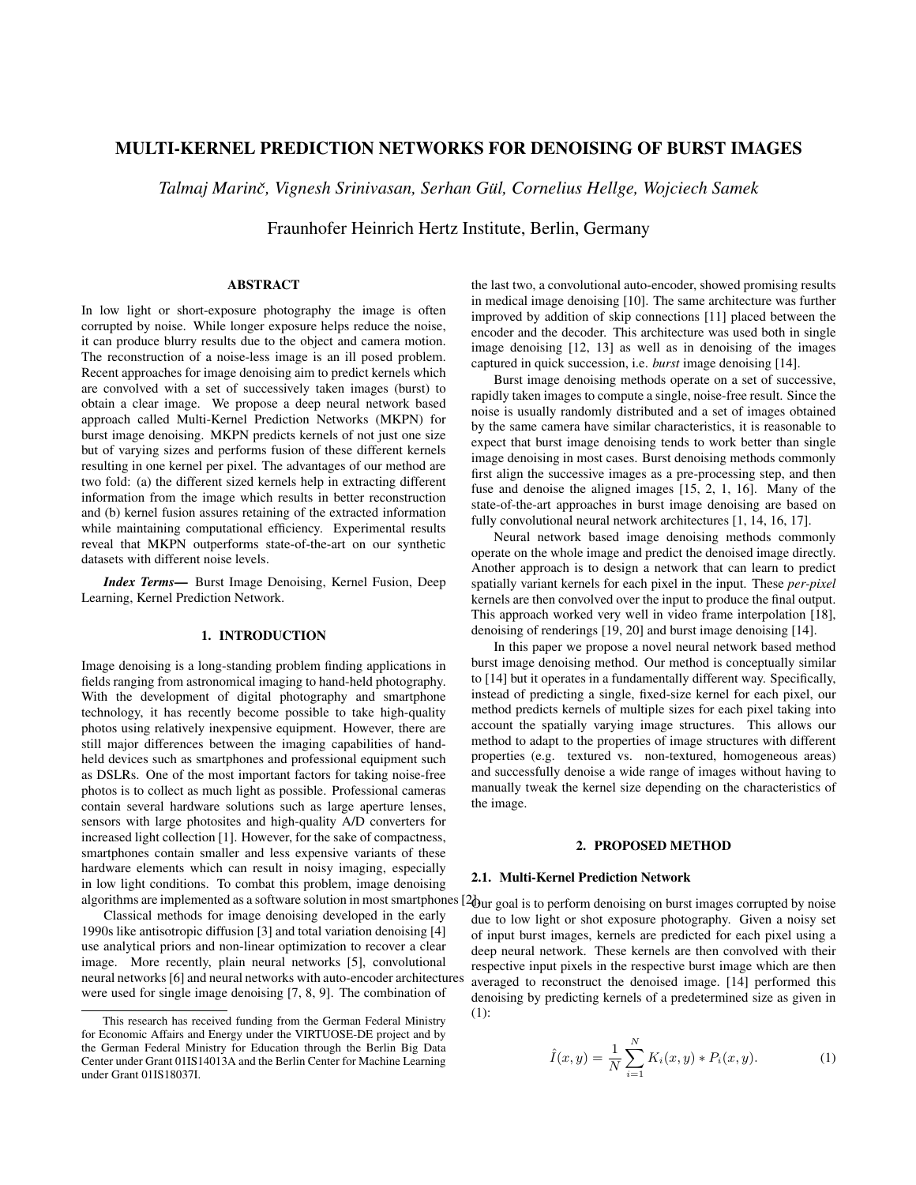# MULTI-KERNEL PREDICTION NETWORKS FOR DENOISING OF BURST IMAGES

*Talmaj Marinc, Vignesh Srinivasan, Serhan G ˇ ul, Cornelius Hellge, Wojciech Samek ¨*

Fraunhofer Heinrich Hertz Institute, Berlin, Germany

## ABSTRACT

In low light or short-exposure photography the image is often corrupted by noise. While longer exposure helps reduce the noise, it can produce blurry results due to the object and camera motion. The reconstruction of a noise-less image is an ill posed problem. Recent approaches for image denoising aim to predict kernels which are convolved with a set of successively taken images (burst) to obtain a clear image. We propose a deep neural network based approach called Multi-Kernel Prediction Networks (MKPN) for burst image denoising. MKPN predicts kernels of not just one size but of varying sizes and performs fusion of these different kernels resulting in one kernel per pixel. The advantages of our method are two fold: (a) the different sized kernels help in extracting different information from the image which results in better reconstruction and (b) kernel fusion assures retaining of the extracted information while maintaining computational efficiency. Experimental results reveal that MKPN outperforms state-of-the-art on our synthetic datasets with different noise levels.

*Index Terms*— Burst Image Denoising, Kernel Fusion, Deep Learning, Kernel Prediction Network.

## 1. INTRODUCTION

Image denoising is a long-standing problem finding applications in fields ranging from astronomical imaging to hand-held photography. With the development of digital photography and smartphone technology, it has recently become possible to take high-quality photos using relatively inexpensive equipment. However, there are still major differences between the imaging capabilities of handheld devices such as smartphones and professional equipment such as DSLRs. One of the most important factors for taking noise-free photos is to collect as much light as possible. Professional cameras contain several hardware solutions such as large aperture lenses, sensors with large photosites and high-quality A/D converters for increased light collection [1]. However, for the sake of compactness, smartphones contain smaller and less expensive variants of these hardware elements which can result in noisy imaging, especially in low light conditions. To combat this problem, image denoising

Classical methods for image denoising developed in the early 1990s like antisotropic diffusion [3] and total variation denoising [4] use analytical priors and non-linear optimization to recover a clear image. More recently, plain neural networks [5], convolutional neural networks [6] and neural networks with auto-encoder architectures were used for single image denoising [7, 8, 9]. The combination of

the last two, a convolutional auto-encoder, showed promising results in medical image denoising [10]. The same architecture was further improved by addition of skip connections [11] placed between the encoder and the decoder. This architecture was used both in single image denoising [12, 13] as well as in denoising of the images captured in quick succession, i.e. *burst* image denoising [14].

Burst image denoising methods operate on a set of successive, rapidly taken images to compute a single, noise-free result. Since the noise is usually randomly distributed and a set of images obtained by the same camera have similar characteristics, it is reasonable to expect that burst image denoising tends to work better than single image denoising in most cases. Burst denoising methods commonly first align the successive images as a pre-processing step, and then fuse and denoise the aligned images [15, 2, 1, 16]. Many of the state-of-the-art approaches in burst image denoising are based on fully convolutional neural network architectures [1, 14, 16, 17].

Neural network based image denoising methods commonly operate on the whole image and predict the denoised image directly. Another approach is to design a network that can learn to predict spatially variant kernels for each pixel in the input. These *per-pixel* kernels are then convolved over the input to produce the final output. This approach worked very well in video frame interpolation [18], denoising of renderings [19, 20] and burst image denoising [14].

In this paper we propose a novel neural network based method burst image denoising method. Our method is conceptually similar to [14] but it operates in a fundamentally different way. Specifically, instead of predicting a single, fixed-size kernel for each pixel, our method predicts kernels of multiple sizes for each pixel taking into account the spatially varying image structures. This allows our method to adapt to the properties of image structures with different properties (e.g. textured vs. non-textured, homogeneous areas) and successfully denoise a wide range of images without having to manually tweak the kernel size depending on the characteristics of the image.

## 2. PROPOSED METHOD

### 2.1. Multi-Kernel Prediction Network

algorithms are implemented as a software solution in most smartphones  $2\delta_{\text{ur}}$  goal is to perform denoising on burst images corrupted by noise due to low light or shot exposure photography. Given a noisy set of input burst images, kernels are predicted for each pixel using a deep neural network. These kernels are then convolved with their respective input pixels in the respective burst image which are then averaged to reconstruct the denoised image. [14] performed this denoising by predicting kernels of a predetermined size as given in (1):

$$
\hat{I}(x,y) = \frac{1}{N} \sum_{i=1}^{N} K_i(x,y) * P_i(x,y).
$$
 (1)

This research has received funding from the German Federal Ministry for Economic Affairs and Energy under the VIRTUOSE-DE project and by the German Federal Ministry for Education through the Berlin Big Data Center under Grant 01IS14013A and the Berlin Center for Machine Learning under Grant 01IS18037I.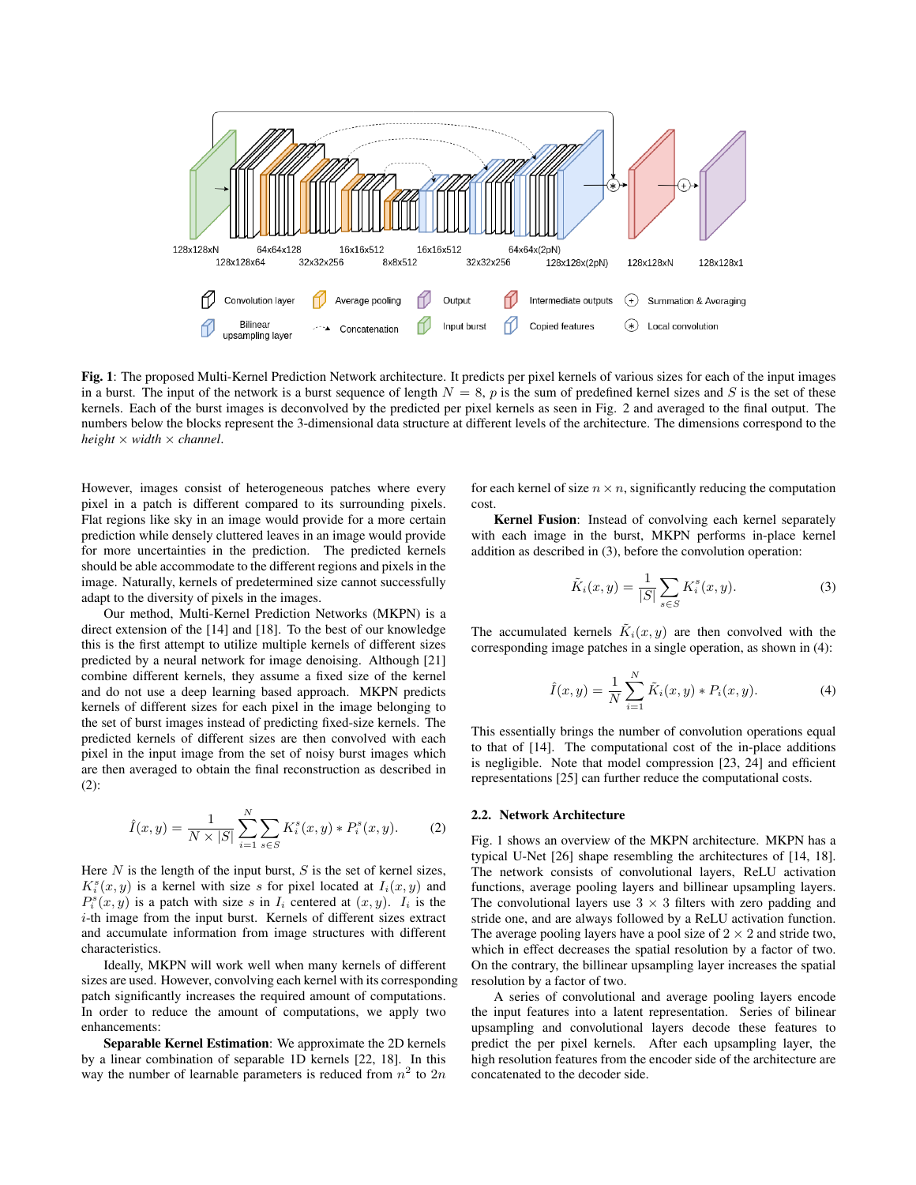

Fig. 1: The proposed Multi-Kernel Prediction Network architecture. It predicts per pixel kernels of various sizes for each of the input images in a burst. The input of the network is a burst sequence of length  $N = 8$ , p is the sum of predefined kernel sizes and S is the set of these kernels. Each of the burst images is deconvolved by the predicted per pixel kernels as seen in Fig. 2 and averaged to the final output. The numbers below the blocks represent the 3-dimensional data structure at different levels of the architecture. The dimensions correspond to the *height* × *width* × *channel*.

However, images consist of heterogeneous patches where every pixel in a patch is different compared to its surrounding pixels. Flat regions like sky in an image would provide for a more certain prediction while densely cluttered leaves in an image would provide for more uncertainties in the prediction. The predicted kernels should be able accommodate to the different regions and pixels in the image. Naturally, kernels of predetermined size cannot successfully adapt to the diversity of pixels in the images.

Our method, Multi-Kernel Prediction Networks (MKPN) is a direct extension of the [14] and [18]. To the best of our knowledge this is the first attempt to utilize multiple kernels of different sizes predicted by a neural network for image denoising. Although [21] combine different kernels, they assume a fixed size of the kernel and do not use a deep learning based approach. MKPN predicts kernels of different sizes for each pixel in the image belonging to the set of burst images instead of predicting fixed-size kernels. The predicted kernels of different sizes are then convolved with each pixel in the input image from the set of noisy burst images which are then averaged to obtain the final reconstruction as described in (2):

$$
\hat{I}(x,y) = \frac{1}{N \times |S|} \sum_{i=1}^{N} \sum_{s \in S} K_i^s(x,y) * P_i^s(x,y).
$$
 (2)

Here  $N$  is the length of the input burst,  $S$  is the set of kernel sizes,  $K_i^s(x, y)$  is a kernel with size s for pixel located at  $I_i(x, y)$  and  $P_i^s(x, y)$  is a patch with size s in  $I_i$  centered at  $(x, y)$ .  $I_i$  is the i-th image from the input burst. Kernels of different sizes extract and accumulate information from image structures with different characteristics.

Ideally, MKPN will work well when many kernels of different sizes are used. However, convolving each kernel with its corresponding patch significantly increases the required amount of computations. In order to reduce the amount of computations, we apply two enhancements:

Separable Kernel Estimation: We approximate the 2D kernels by a linear combination of separable 1D kernels [22, 18]. In this way the number of learnable parameters is reduced from  $n^2$  to  $2n$ 

for each kernel of size  $n \times n$ , significantly reducing the computation cost.

Kernel Fusion: Instead of convolving each kernel separately with each image in the burst, MKPN performs in-place kernel addition as described in (3), before the convolution operation:

$$
\tilde{K}_i(x, y) = \frac{1}{|S|} \sum_{s \in S} K_i^s(x, y).
$$
 (3)

The accumulated kernels  $\tilde{K}_i(x, y)$  are then convolved with the corresponding image patches in a single operation, as shown in (4):

$$
\hat{I}(x,y) = \frac{1}{N} \sum_{i=1}^{N} \tilde{K}_i(x,y) * P_i(x,y).
$$
 (4)

This essentially brings the number of convolution operations equal to that of [14]. The computational cost of the in-place additions is negligible. Note that model compression [23, 24] and efficient representations [25] can further reduce the computational costs.

## 2.2. Network Architecture

Fig. 1 shows an overview of the MKPN architecture. MKPN has a typical U-Net [26] shape resembling the architectures of [14, 18]. The network consists of convolutional layers, ReLU activation functions, average pooling layers and billinear upsampling layers. The convolutional layers use  $3 \times 3$  filters with zero padding and stride one, and are always followed by a ReLU activation function. The average pooling layers have a pool size of  $2 \times 2$  and stride two, which in effect decreases the spatial resolution by a factor of two. On the contrary, the billinear upsampling layer increases the spatial resolution by a factor of two.

A series of convolutional and average pooling layers encode the input features into a latent representation. Series of bilinear upsampling and convolutional layers decode these features to predict the per pixel kernels. After each upsampling layer, the high resolution features from the encoder side of the architecture are concatenated to the decoder side.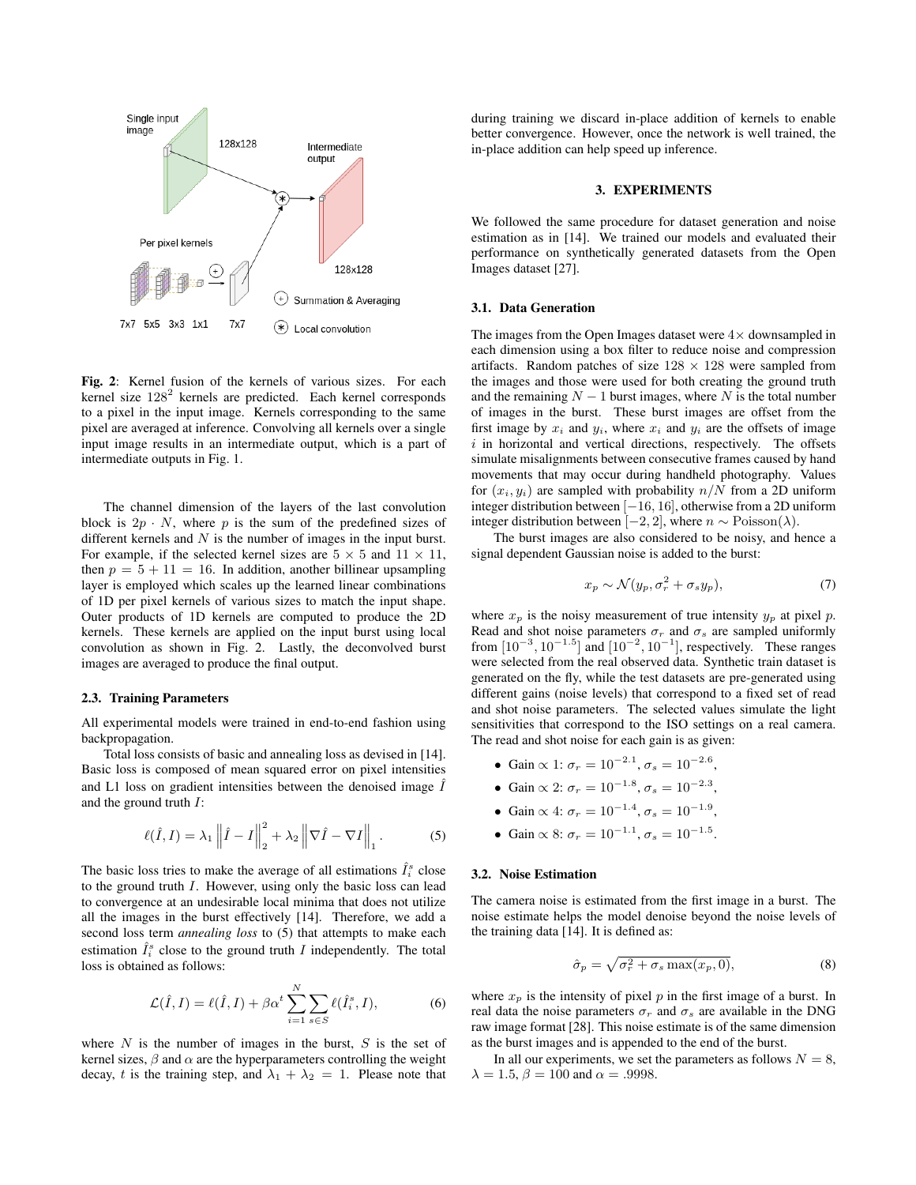

Fig. 2: Kernel fusion of the kernels of various sizes. For each kernel size  $128^2$  kernels are predicted. Each kernel corresponds to a pixel in the input image. Kernels corresponding to the same pixel are averaged at inference. Convolving all kernels over a single input image results in an intermediate output, which is a part of intermediate outputs in Fig. 1.

The channel dimension of the layers of the last convolution block is  $2p \cdot N$ , where p is the sum of the predefined sizes of different kernels and  $N$  is the number of images in the input burst. For example, if the selected kernel sizes are  $5 \times 5$  and  $11 \times 11$ , then  $p = 5 + 11 = 16$ . In addition, another billinear upsampling layer is employed which scales up the learned linear combinations of 1D per pixel kernels of various sizes to match the input shape. Outer products of 1D kernels are computed to produce the 2D kernels. These kernels are applied on the input burst using local convolution as shown in Fig. 2. Lastly, the deconvolved burst images are averaged to produce the final output.

#### 2.3. Training Parameters

All experimental models were trained in end-to-end fashion using backpropagation.

Total loss consists of basic and annealing loss as devised in [14]. Basic loss is composed of mean squared error on pixel intensities and L1 loss on gradient intensities between the denoised image  $\hat{I}$ and the ground truth I:

$$
\ell(\hat{I}, I) = \lambda_1 \left\| \hat{I} - I \right\|_2^2 + \lambda_2 \left\| \nabla \hat{I} - \nabla I \right\|_1.
$$
 (5)

The basic loss tries to make the average of all estimations  $\hat{I}_i^s$  close to the ground truth  $I$ . However, using only the basic loss can lead to convergence at an undesirable local minima that does not utilize all the images in the burst effectively [14]. Therefore, we add a second loss term *annealing loss* to (5) that attempts to make each estimation  $\hat{I}_i^s$  close to the ground truth *I* independently. The total loss is obtained as follows:

$$
\mathcal{L}(\hat{I},I) = \ell(\hat{I},I) + \beta \alpha^t \sum_{i=1}^N \sum_{s \in S} \ell(\hat{I}_i^s, I), \tag{6}
$$

where  $N$  is the number of images in the burst,  $S$  is the set of kernel sizes,  $\beta$  and  $\alpha$  are the hyperparameters controlling the weight decay, t is the training step, and  $\lambda_1 + \lambda_2 = 1$ . Please note that

during training we discard in-place addition of kernels to enable better convergence. However, once the network is well trained, the in-place addition can help speed up inference.

## 3. EXPERIMENTS

We followed the same procedure for dataset generation and noise estimation as in [14]. We trained our models and evaluated their performance on synthetically generated datasets from the Open Images dataset [27].

#### 3.1. Data Generation

The images from the Open Images dataset were  $4\times$  downsampled in each dimension using a box filter to reduce noise and compression artifacts. Random patches of size  $128 \times 128$  were sampled from the images and those were used for both creating the ground truth and the remaining  $N - 1$  burst images, where N is the total number of images in the burst. These burst images are offset from the first image by  $x_i$  and  $y_i$ , where  $x_i$  and  $y_i$  are the offsets of image  $i$  in horizontal and vertical directions, respectively. The offsets simulate misalignments between consecutive frames caused by hand movements that may occur during handheld photography. Values for  $(x_i, y_i)$  are sampled with probability  $n/N$  from a 2D uniform integer distribution between [−16, 16], otherwise from a 2D uniform integer distribution between [−2, 2], where n ∼ Poisson(λ).

The burst images are also considered to be noisy, and hence a signal dependent Gaussian noise is added to the burst:

$$
x_p \sim \mathcal{N}(y_p, \sigma_r^2 + \sigma_s y_p),\tag{7}
$$

where  $x_p$  is the noisy measurement of true intensity  $y_p$  at pixel p. Read and shot noise parameters  $\sigma_r$  and  $\sigma_s$  are sampled uniformly from  $[10^{-3}, 10^{-1.5}]$  and  $[10^{-2}, 10^{-1}]$ , respectively. These ranges were selected from the real observed data. Synthetic train dataset is generated on the fly, while the test datasets are pre-generated using different gains (noise levels) that correspond to a fixed set of read and shot noise parameters. The selected values simulate the light sensitivities that correspond to the ISO settings on a real camera. The read and shot noise for each gain is as given:

- Gain  $\propto 1$ :  $\sigma_r = 10^{-2.1}, \sigma_s = 10^{-2.6}$ ,
- Gain  $\propto 2$ :  $\sigma_r = 10^{-1.8}, \sigma_s = 10^{-2.3}$ ,
- Gain  $\propto 4$ :  $\sigma_r = 10^{-1.4}$ ,  $\sigma_s = 10^{-1.9}$ ,
- Gain  $\propto 8$ :  $\sigma_r = 10^{-1.1}, \sigma_s = 10^{-1.5}$ .

## 3.2. Noise Estimation

The camera noise is estimated from the first image in a burst. The noise estimate helps the model denoise beyond the noise levels of the training data [14]. It is defined as:

$$
\hat{\sigma}_p = \sqrt{\sigma_r^2 + \sigma_s \max(x_p, 0)},\tag{8}
$$

where  $x_p$  is the intensity of pixel p in the first image of a burst. In real data the noise parameters  $\sigma_r$  and  $\sigma_s$  are available in the DNG raw image format [28]. This noise estimate is of the same dimension as the burst images and is appended to the end of the burst.

In all our experiments, we set the parameters as follows  $N = 8$ ,  $\lambda = 1.5$ ,  $\beta = 100$  and  $\alpha = .9998$ .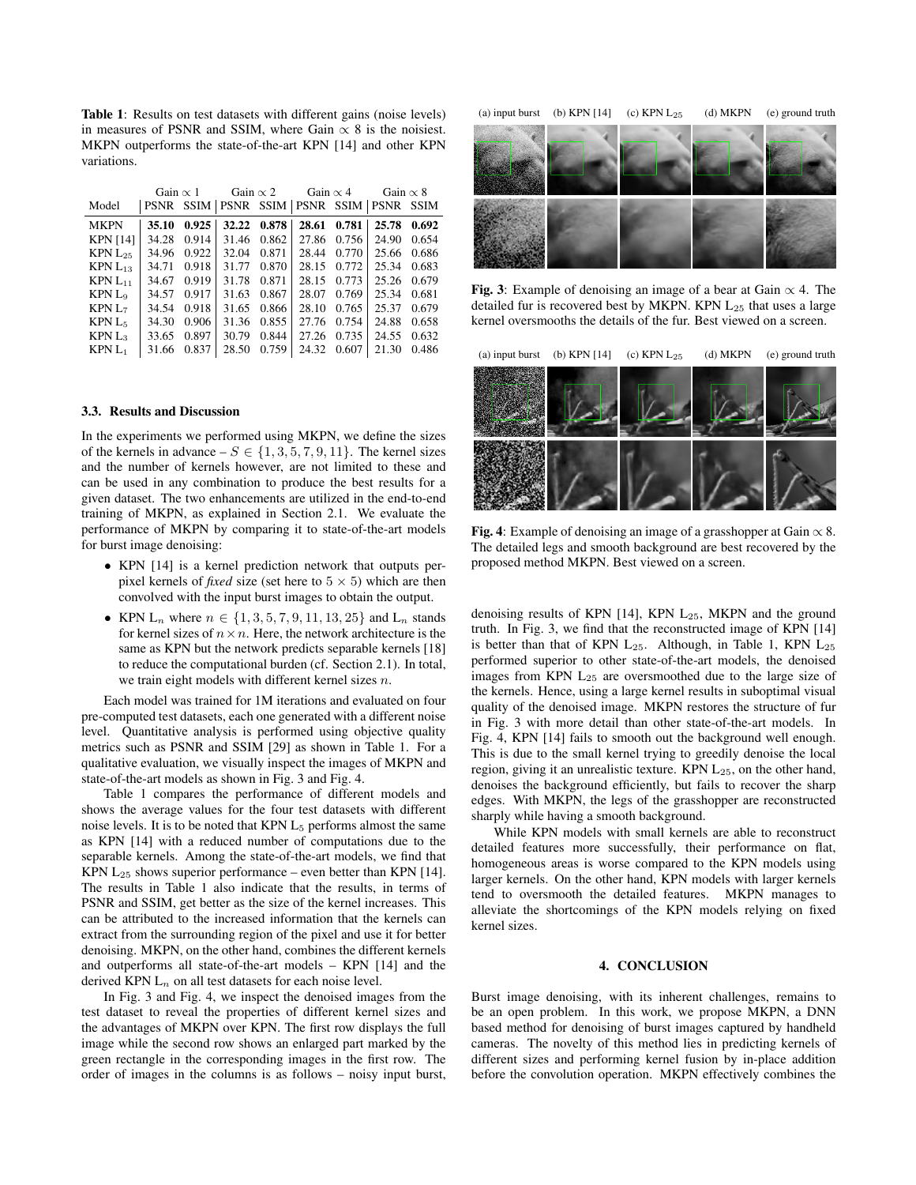Table 1: Results on test datasets with different gains (noise levels) in measures of PSNR and SSIM, where Gain  $\propto$  8 is the noisiest. MKPN outperforms the state-of-the-art KPN [14] and other KPN variations.

|                    | Gain $\propto$ 1 |       | Gain $\propto$ 2 |       | Gain $\propto$ 4 |       | Gain $\propto$ 8                        |       |
|--------------------|------------------|-------|------------------|-------|------------------|-------|-----------------------------------------|-------|
| Model              |                  |       |                  |       |                  |       | PSNR SSIM PSNR SSIM PSNR SSIM PSNR SSIM |       |
| <b>MKPN</b>        | 35.10            | 0.925 | 32.22            | 0.878 | 28.61            | 0.781 | 25.78                                   | 0.692 |
| <b>KPN</b> [14]    | 34.28            | 0.914 | 31.46            | 0.862 | 27.86            | 0.756 | 24.90                                   | 0.654 |
| $KPN L_{25}$       | 34.96            | 0.922 | 32.04            | 0.871 | 28.44            | 0.770 | 25.66                                   | 0.686 |
| $KPN L_{13}$       | 34.71            | 0.918 | 31.77            | 0.870 | 28.15            | 0.772 | 25.34                                   | 0.683 |
| $KPN L_{11}$       | 34.67            | 0.919 | 31.78            | 0.871 | 28.15            | 0.773 | 25.26                                   | 0.679 |
| KPN L <sub>9</sub> | 34.57            | 0.917 | 31.63            | 0.867 | 28.07            | 0.769 | 25.34                                   | 0.681 |
| $KPN L_7$          | 34.54            | 0.918 | 31.65            | 0.866 | 28.10            | 0.765 | 25.37                                   | 0.679 |
| KPN L <sub>5</sub> | 34.30            | 0.906 | 31.36            | 0.855 | 27.76            | 0.754 | 24.88                                   | 0.658 |
| $KPN L_3$          | 33.65            | 0.897 | 30.79            | 0.844 | 27.26            | 0.735 | 24.55                                   | 0.632 |
| $KPNL_1$           | 31.66            | 0.837 | 28.50            | 0.759 | 24.32            | 0.607 | 21.30                                   | 0.486 |

## 3.3. Results and Discussion

In the experiments we performed using MKPN, we define the sizes of the kernels in advance –  $S \in \{1, 3, 5, 7, 9, 11\}$ . The kernel sizes and the number of kernels however, are not limited to these and can be used in any combination to produce the best results for a given dataset. The two enhancements are utilized in the end-to-end training of MKPN, as explained in Section 2.1. We evaluate the performance of MKPN by comparing it to state-of-the-art models for burst image denoising:

- KPN [14] is a kernel prediction network that outputs perpixel kernels of *fixed* size (set here to  $5 \times 5$ ) which are then convolved with the input burst images to obtain the output.
- KPN  $L_n$  where  $n \in \{1, 3, 5, 7, 9, 11, 13, 25\}$  and  $L_n$  stands for kernel sizes of  $n \times n$ . Here, the network architecture is the same as KPN but the network predicts separable kernels [18] to reduce the computational burden (cf. Section 2.1). In total, we train eight models with different kernel sizes  $n$ .

Each model was trained for 1M iterations and evaluated on four pre-computed test datasets, each one generated with a different noise level. Quantitative analysis is performed using objective quality metrics such as PSNR and SSIM [29] as shown in Table 1. For a qualitative evaluation, we visually inspect the images of MKPN and state-of-the-art models as shown in Fig. 3 and Fig. 4.

Table 1 compares the performance of different models and shows the average values for the four test datasets with different noise levels. It is to be noted that KPN L<sup>5</sup> performs almost the same as KPN [14] with a reduced number of computations due to the separable kernels. Among the state-of-the-art models, we find that KPN  $L_{25}$  shows superior performance – even better than KPN [14]. The results in Table 1 also indicate that the results, in terms of PSNR and SSIM, get better as the size of the kernel increases. This can be attributed to the increased information that the kernels can extract from the surrounding region of the pixel and use it for better denoising. MKPN, on the other hand, combines the different kernels and outperforms all state-of-the-art models – KPN [14] and the derived KPN  $L_n$  on all test datasets for each noise level.

In Fig. 3 and Fig. 4, we inspect the denoised images from the test dataset to reveal the properties of different kernel sizes and the advantages of MKPN over KPN. The first row displays the full image while the second row shows an enlarged part marked by the green rectangle in the corresponding images in the first row. The order of images in the columns is as follows – noisy input burst,

(a) input burst (b) KPN  $[14]$  (c) KPN  $L_{25}$  (d) MKPN (e) ground truth



Fig. 3: Example of denoising an image of a bear at Gain  $\propto$  4. The detailed fur is recovered best by MKPN. KPN L<sub>25</sub> that uses a large kernel oversmooths the details of the fur. Best viewed on a screen.



Fig. 4: Example of denoising an image of a grasshopper at Gain  $\propto$  8. The detailed legs and smooth background are best recovered by the proposed method MKPN. Best viewed on a screen.

denoising results of KPN [14], KPN  $L_{25}$ , MKPN and the ground truth. In Fig. 3, we find that the reconstructed image of KPN [14] is better than that of KPN  $L_{25}$ . Although, in Table 1, KPN  $L_{25}$ performed superior to other state-of-the-art models, the denoised images from KPN L<sub>25</sub> are oversmoothed due to the large size of the kernels. Hence, using a large kernel results in suboptimal visual quality of the denoised image. MKPN restores the structure of fur in Fig. 3 with more detail than other state-of-the-art models. In Fig. 4, KPN [14] fails to smooth out the background well enough. This is due to the small kernel trying to greedily denoise the local region, giving it an unrealistic texture. KPN  $L_{25}$ , on the other hand, denoises the background efficiently, but fails to recover the sharp edges. With MKPN, the legs of the grasshopper are reconstructed sharply while having a smooth background.

While KPN models with small kernels are able to reconstruct detailed features more successfully, their performance on flat, homogeneous areas is worse compared to the KPN models using larger kernels. On the other hand, KPN models with larger kernels tend to oversmooth the detailed features. MKPN manages to alleviate the shortcomings of the KPN models relying on fixed kernel sizes.

### 4. CONCLUSION

Burst image denoising, with its inherent challenges, remains to be an open problem. In this work, we propose MKPN, a DNN based method for denoising of burst images captured by handheld cameras. The novelty of this method lies in predicting kernels of different sizes and performing kernel fusion by in-place addition before the convolution operation. MKPN effectively combines the